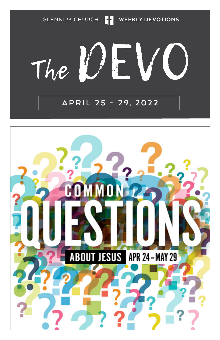GLENKIRK CHURCH **THE WEEKLY DEVOTIONS** 

### VO The UL

### **APRIL 25 – 29, 2022**

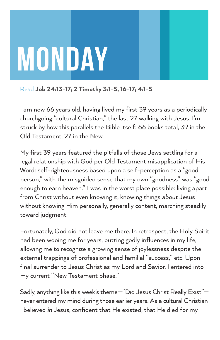

Read Job 24:13-17; 2 Timothy 3:1-5, 16-17; 4:1-5

I am now 66 years old, having lived my first 39 years as a periodically churchgoing "cultural Christian," the last 27 walking with Jesus. I'm struck by how this parallels the Bible itself: 66 books total, 39 in the Old Testament, 27 in the New.

My first 39 years featured the pitfalls of those Jews settling for a legal relationship with God per Old Testament misapplication of His Word: self-righteousness based upon a self-perception as a "good person," with the misguided sense that my own "goodness" was "good enough to earn heaven." I was in the worst place possible: living apart from Christ without even knowing it, knowing things *about* Jesus without knowing Him personally, generally content, marching steadily toward judgment.

Fortunately, God did not leave me there. In retrospect, the Holy Spirit had been wooing me for years, putting godly influences in my life, allowing me to recognize a growing sense of joylessness despite the external trappings of professional and familial "success," etc. Upon final surrender to Jesus Christ as my Lord and Savior, I entered into my current "New Testament phase."

Sadly, anything like this week's theme—"Did Jesus Christ Really Exist" never entered my mind during those earlier years. As a cultural Christian I believed *in* Jesus, confident that He existed, that He died for my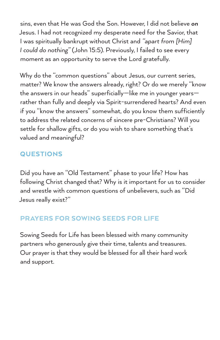sins, even that He was God the Son. However, I did not believe *on* Jesus. I had not recognized my desperate need for the Savior, that I was spiritually bankrupt without Christ and *"apart from [Him] I could do nothing"* (John 15:5). Previously, I failed to see every moment as an opportunity to serve the Lord gratefully.

Why do the "common questions" about Jesus, our current series, matter? We know the answers already, right? Or do we merely "know the answers in our heads" superficially—like me in younger years rather than fully and deeply via Spirit-surrendered hearts? And even if you "know the answers" somewhat, do you know them sufficiently to address the related concerns of sincere pre-Christians? Will you settle for shallow gifts, or do you wish to share something that's valued and meaningful?

### **QUESTIONS**

Did you have an "Old Testament" phase to your life? How has following Christ changed that? Why is it important for us to consider and wrestle with common questions of unbelievers, such as "Did Jesus really exist?"

### PRAYERS FOR SOWING SEEDS FOR LIFE

Sowing Seeds for Life has been blessed with many community partners who generously give their time, talents and treasures. Our prayer is that they would be blessed for all their hard work and support.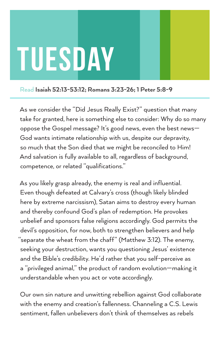### TUESDAY

### Read Isaiah 52:13-53:12; Romans 3:23-26; 1 Peter 5:8-9

As we consider the "Did Jesus Really Exist?" question that many take for granted, here is something else to consider: Why do so many oppose the Gospel message? It's good news, even the best news— God wants intimate relationship with us, despite our depravity, so much that the Son died that we might be reconciled to Him! And salvation is fully available to all, regardless of background, competence, or related "qualifications."

As you likely grasp already, the enemy is real and influential. Even though defeated at Calvary's cross (though likely blinded here by extreme narcissism), Satan aims to destroy every human and thereby confound God's plan of redemption. He provokes unbelief and sponsors false religions accordingly. God permits the devil's opposition, for now, both to strengthen believers and help "separate the wheat from the chaff" (Matthew 3:12). The enemy, seeking your destruction, wants you questioning Jesus' existence and the Bible's credibility. He'd rather that you self-perceive as a "privileged animal," the product of random evolution—making it understandable when you act or vote accordingly.

Our own sin nature and unwitting rebellion against God collaborate with the enemy and creation's fallenness. Channeling a C.S. Lewis sentiment, fallen unbelievers don't think of themselves as rebels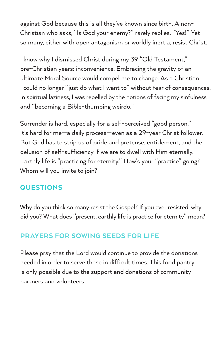against God because this is all they've known since birth. A non-Christian who asks, "Is God your enemy?" rarely replies, "Yes!" Yet so many, either with open antagonism or worldly inertia, resist Christ.

I know why I dismissed Christ during my 39 "Old Testament," pre-Christian years: inconvenience. Embracing the gravity of an ultimate Moral Source would compel me to change. As a Christian I could no longer "just do what I want to" without fear of consequences. In spiritual laziness, I was repelled by the notions of facing my sinfulness and "becoming a Bible-thumping weirdo."

Surrender is hard, especially for a self-perceived "good person." It's hard for me—a daily process—even as a 29-year Christ follower. But God has to strip us of pride and pretense, entitlement, and the delusion of self-sufficiency if we are to dwell with Him eternally. Earthly life is "practicing for eternity." How's your "practice" going? Whom will you invite to join?

### QUESTIONS

Why do you think so many resist the Gospel? If you ever resisted, why did you? What does "present, earthly life is practice for eternity" mean?

### PRAYERS FOR SOWING SEEDS FOR LIFE

Please pray that the Lord would continue to provide the donations needed in order to serve those in difficult times. This food pantry is only possible due to the support and donations of community partners and volunteers.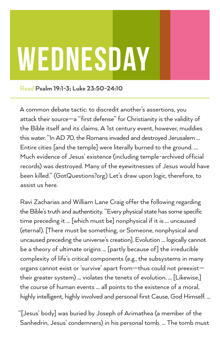# Wednesday

Read Psalm 19:1-3; Luke 23:50-24:10

A common debate tactic: to discredit another's assertions, you attack their source—a "first defense" for Christianity is the validity of the Bible itself and its claims. A 1st century event, however, muddies this water. "In AD 70, the Romans invaded and destroyed Jerusalem … Entire cities [and the temple] were literally burned to the ground. … Much evidence of Jesus' existence (including temple-archived official records) was destroyed. Many of the eyewitnesses of Jesus would have been killed." (GotQuestions?org) Let's draw upon logic, therefore, to assist us here.

Ravi Zacharias and William Lane Craig offer the following regarding the Bible's truth and authenticity. "Every physical state has some specific time preceding it … [which must be] nonphysical if it is … uncaused (eternal). [There must be something, or Someone, nonphysical and uncaused preceding the universe's creation]. Evolution … logically cannot be a theory of ultimate origins … [partly because of] the irreducible complexity of life's critical components (e.g., the subsystems in many organs cannot exist or 'survive' apart from—thus could not preexist their greater system) … violates the tenets of evolution. … [Likewise,] the course of human events … all points to the existence of a moral, highly intelligent, highly involved and personal first Cause, God Himself. …

"[Jesus' body] was buried by Joseph of Arimathea (a member of the Sanhedrin, Jesus' condemners) in his personal tomb. … The tomb must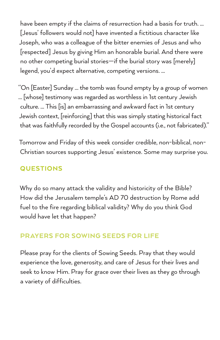have been empty if the claims of resurrection had a basis for truth. … [Jesus' followers would not] have invented a fictitious character like Joseph, who was a colleague of the bitter enemies of Jesus and who [respected] Jesus by giving Him an honorable burial. And there were no other competing burial stories—if the burial story was [merely] legend, you'd expect alternative, competing versions. …

"On [Easter] Sunday … the tomb was found empty by a group of women … [whose] testimony was regarded as worthless in 1st century Jewish culture. … This [is] an embarrassing and awkward fact in 1st century Jewish context, [reinforcing] that this was simply stating historical fact that was faithfully recorded by the Gospel accounts (i.e., not fabricated)."

Tomorrow and Friday of this week consider credible, non-biblical, non-Christian sources supporting Jesus' existence. Some may surprise you.

### **QUESTIONS**

Why do so many attack the validity and historicity of the Bible? How did the Jerusalem temple's AD 70 destruction by Rome add fuel to the fire regarding biblical validity? Why do you think God would have let that happen?

### PRAYERS FOR SOWING SEEDS FOR LIFE

Please pray for the clients of Sowing Seeds. Pray that they would experience the love, generosity, and care of Jesus for their lives and seek to know Him. Pray for grace over their lives as they go through a variety of difficulties.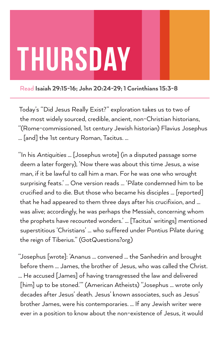### Thursday

Read Isaiah 29:15-16; John 20:24-29; 1 Corinthians 15:3-8

Today's "Did Jesus Really Exist?" exploration takes us to two of the most widely sourced, credible, ancient, non-Christian historians, "(Rome-commissioned, 1st century Jewish historian) Flavius Josephus … [and] the 1st century Roman, Tacitus. ...

"In his *Antiquities* … [Josephus wrote] (in a disputed passage some deem a later forgery), 'Now there was about this time Jesus, a wise man, if it be lawful to call him a man. For he was one who wrought surprising feats.' … One version reads … 'Pilate condemned him to be crucified and to die. But those who became his disciples … [reported] that he had appeared to them three days after his crucifixion, and … was alive; accordingly, he was perhaps the Messiah, concerning whom the prophets have recounted wonders.' … [Tacitus' writings] mentioned superstitious 'Christians' … who suffered under Pontius Pilate during the reign of Tiberius." (GotQuestions?org)

"Josephus [wrote]: 'Ananus … convened … the Sanhedrin and brought before them … James, the brother of Jesus, who was called the Christ. … He accused [James] of having transgressed the law and delivered [him] up to be stoned.'" (American Atheists) "Josephus … wrote only decades after Jesus' death. Jesus' known associates, such as Jesus' brother James, were his contemporaries. … If any Jewish writer were ever in a position to know about the non-existence of Jesus, it would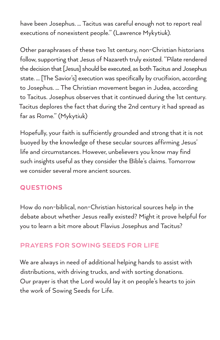have been Josephus. … Tacitus was careful enough not to report real executions of nonexistent people." (Lawrence Mykytiuk).

Other paraphrases of these two 1st century, non-Christian historians follow, supporting that Jesus of Nazareth truly existed. "Pilate rendered the decision that [Jesus] should be executed, as both Tacitus and Josephus state. … [The Savior's] execution was specifically by crucifixion, according to Josephus. … The Christian movement began in Judea, according to Tacitus. Josephus observes that it continued during the 1st century. Tacitus deplores the fact that during the 2nd century it had spread as far as Rome." (Mykytiuk)

Hopefully, your faith is sufficiently grounded and strong that it is not buoyed by the knowledge of these secular sources affirming Jesus' life and circumstances. However, unbelievers you know may find such insights useful as they consider the Bible's claims. Tomorrow we consider several more ancient sources.

### QUESTIONS

How do non-biblical, non-Christian historical sources help in the debate about whether Jesus really existed? Might it prove helpful for you to learn a bit more about Flavius Josephus and Tacitus?

### PRAYERS FOR SOWING SEEDS FOR LIFE

We are always in need of additional helping hands to assist with distributions, with driving trucks, and with sorting donations. Our prayer is that the Lord would lay it on people's hearts to join the work of Sowing Seeds for Life.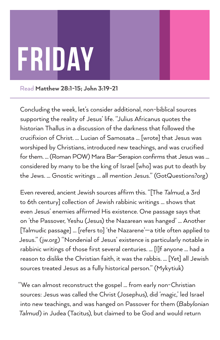## FRIDAY

Read Matthew 28:1-15; John 3:19-21

Concluding the week, let's consider additional, non-biblical sources supporting the reality of Jesus' life. "Julius Africanus quotes the historian Thallus in a discussion of the darkness that followed the crucifixion of Christ. … Lucian of Samosata … [wrote] that Jesus was worshiped by Christians, introduced new teachings, and was crucified for them. … (Roman POW) Mara Bar-Serapion confirms that Jesus was … considered by many to be the king of Israel [who] was put to death by the Jews. … Gnostic writings … all mention Jesus." (GotQuestions?org)

Even revered, ancient Jewish sources affirm this. "[The *Talmud*, a 3rd to 6th century] collection of Jewish rabbinic writings … shows that even Jesus' enemies affirmed His existence. One passage says that on 'the Passover, Yeshu (Jesus) the Nazarean was hanged' … Another [Talmudic passage] … [refers to] 'the Nazarene'—a title often applied to Jesus." (jw.org) "Nondenial of Jesus' existence is particularly notable in rabbinic writings of those first several centuries. … [I]f anyone … had a reason to dislike the Christian faith, it was the rabbis. … [Yet] all Jewish sources treated Jesus as a fully historical person." (Mykytiuk)

"We can almost reconstruct the gospel … from early non-Christian sources: Jesus was called the Christ (Josephus), did 'magic,' led Israel into new teachings, and was hanged on Passover for them (*Babylonian Talmud*) in Judea (Tacitus), but claimed to be God and would return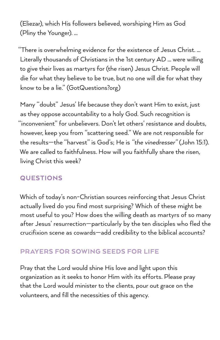(Eliezar), which His followers believed, worshiping Him as God (Pliny the Younger). …

"There is overwhelming evidence for the existence of Jesus Christ. … Literally thousands of Christians in the 1st century AD … were willing to give their lives as martyrs for (the risen) Jesus Christ. People will die for what they believe to be true, but no one will die for what they know to be a lie." (GotQuestions?org)

Many "doubt" Jesus' life because they don't want Him to exist, just as they oppose accountability to a holy God. Such recognition is "inconvenient" for unbelievers. Don't let others' resistance and doubts, however, keep you from "scattering seed." We are not responsible for the results—the "harvest" is God's; He is *"the vinedresser"* (John 15:1). We are called to faithfulness. How will you faithfully share the risen, living Christ this week?

### **QUESTIONS**

Which of today's non-Christian sources reinforcing that Jesus Christ actually lived do you find most surprising? Which of these might be most useful to you? How does the willing death as martyrs of so many after Jesus' resurrection—particularly by the ten disciples who fled the crucifixion scene as cowards—add credibility to the biblical accounts?

### PRAYERS FOR SOWING SEEDS FOR LIFE

Pray that the Lord would shine His love and light upon this organization as it seeks to honor Him with its efforts. Please pray that the Lord would minister to the clients, pour out grace on the volunteers, and fill the necessities of this agency.